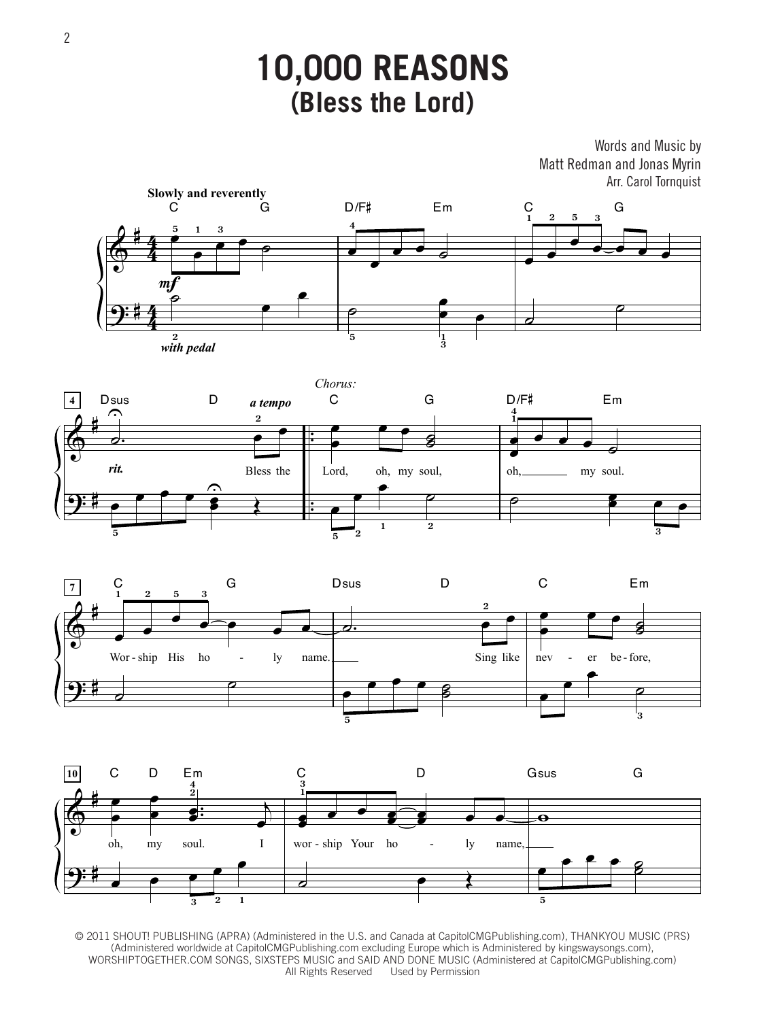## **10,000 REASONS (Bless the Lord)**

Words and Music by Matt Redman and Jonas Myrin Arr. Carol Tornquist









© 2011 SHOUT! PUBLISHING (APRA) (Administered in the U.S. and Canada at CapitolCMGPublishing.com), THANKYOU MUSIC (PRS) (Administered worldwide at CapitolCMGPublishing.com excluding Europe which is Administered by kingswaysongs.com), WORSHIPTOGETHER.COM SONGS, SIXSTEPS MUSIC and SAID AND DONE MUSIC (Administered at CapitolCMGPublishing.com) All Rights Reserved Used by Permission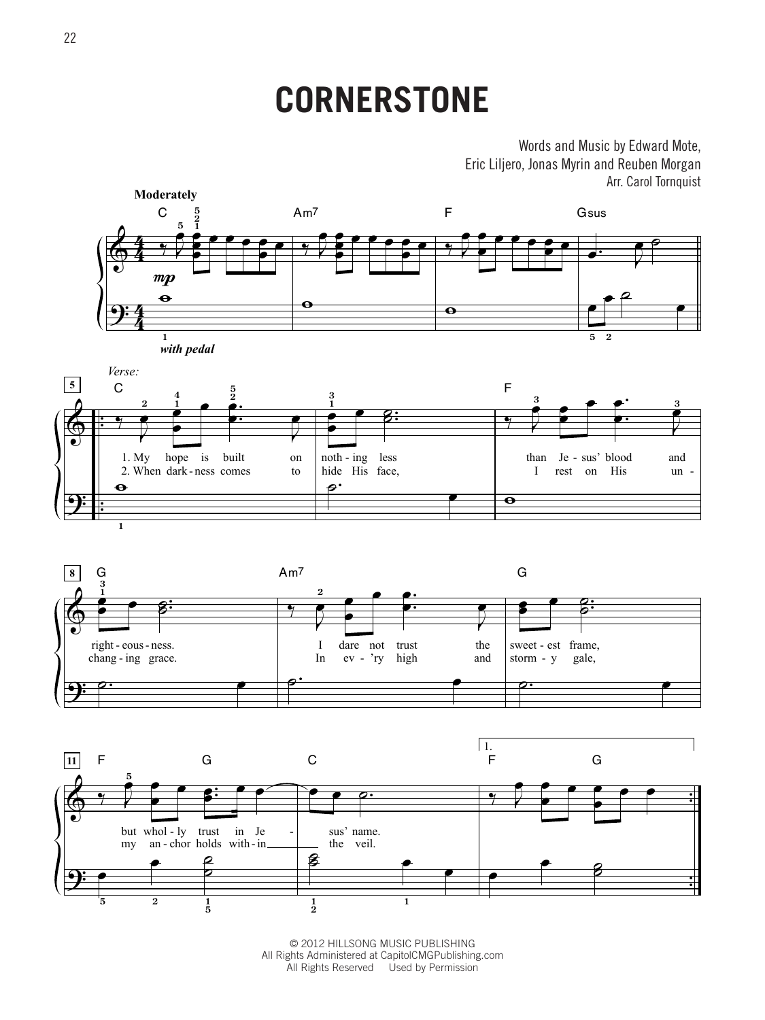## **CORNERSTONE**

Words and Music by Edward Mote, Eric Liljero, Jonas Myrin and Reuben Morgan Arr. Carol Tornquist









© 2012 HILLSONG MUSIC PUBLISHING All Rights Administered at CapitolCMGPublishing.com All Rights Reserved Used by Permission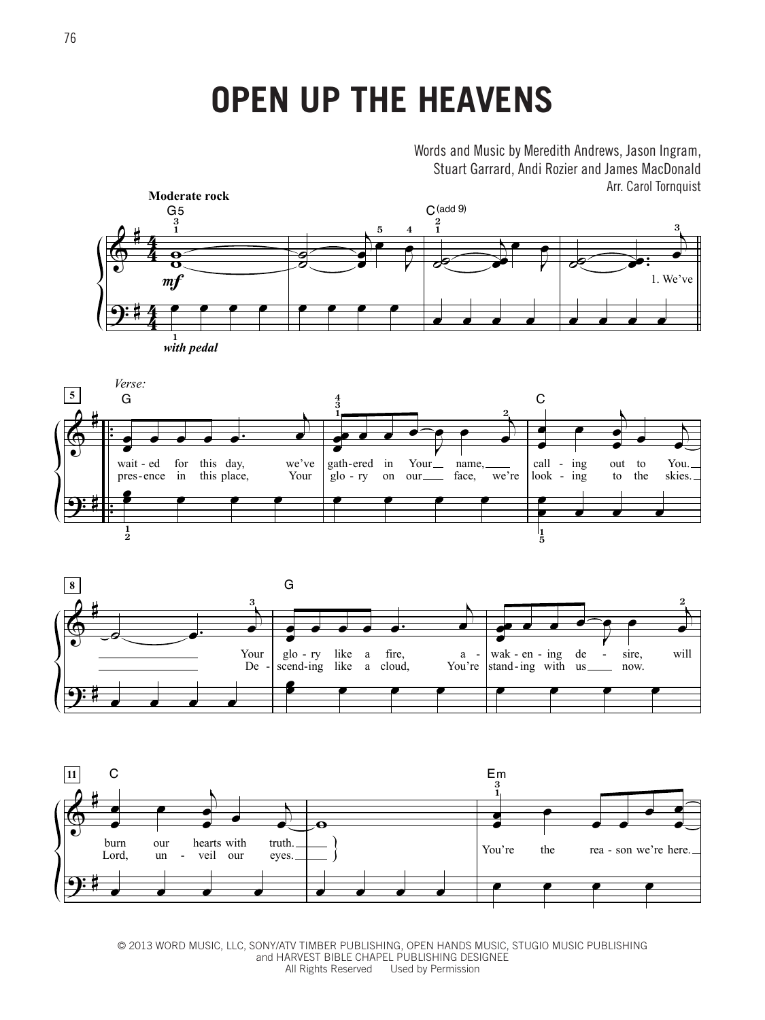## **OPEN UP THE HEAVENS**

Words and Music by Meredith Andrews, Jason Ingram, Stuart Garrard, Andi Rozier and James MacDonald Arr. Carol Tornquist



*with pedal*







© 2013 WORD MUSIC, LLC, SONY/ATV TIMBER PUBLISHING, OPEN HANDS MUSIC, STUGIO MUSIC PUBLISHING and HARVEST BIBLE CHAPEL PUBLISHING DESIGNEE All Rights Reserved Used by Permission